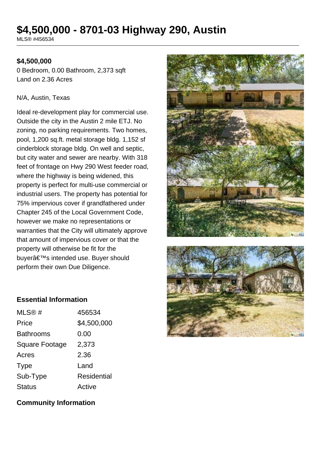# **\$4,500,000 - 8701-03 Highway 290, Austin**

MLS® #456534

# **\$4,500,000**

0 Bedroom, 0.00 Bathroom, 2,373 sqft Land on 2.36 Acres

#### N/A, Austin, Texas

Ideal re-development play for commercial use. Outside the city in the Austin 2 mile ETJ. No zoning, no parking requirements. Two homes, pool, 1,200 sq.ft. metal storage bldg. 1,152 sf cinderblock storage bldg. On well and septic, but city water and sewer are nearby. With 318 feet of frontage on Hwy 290 West feeder road, where the highway is being widened, this property is perfect for multi-use commercial or industrial users. The property has potential for 75% impervious cover if grandfathered under Chapter 245 of the Local Government Code, however we make no representations or warranties that the City will ultimately approve that amount of impervious cover or that the property will otherwise be fit for the buyer's intended use. Buyer should perform their own Due Diligence.





### **Essential Information**

| MLS@#                 | 456534      |
|-----------------------|-------------|
| Price                 | \$4,500,000 |
| <b>Bathrooms</b>      | 0.00        |
| <b>Square Footage</b> | 2,373       |
| Acres                 | 2.36        |
| Type                  | Land        |
| Sub-Type              | Residential |
| <b>Status</b>         | Active      |

**Community Information**